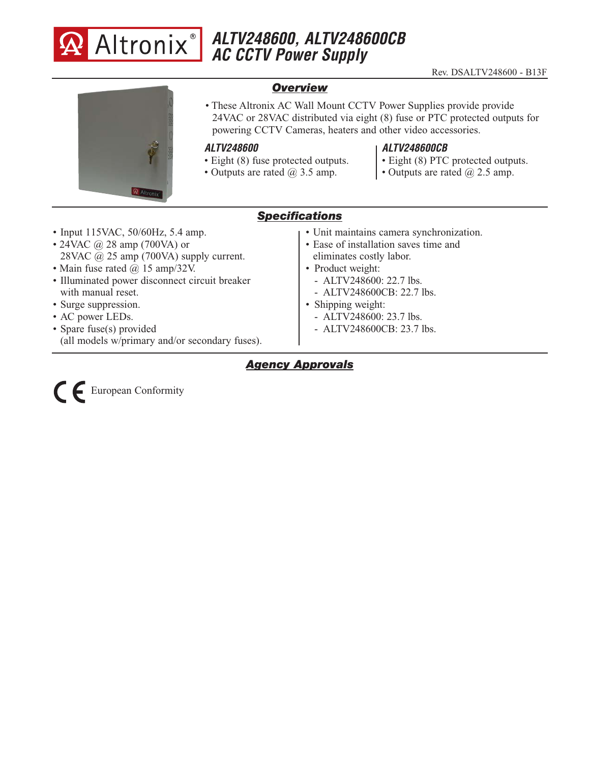

# **ALTV248600, ALTV248600CB AC CCTV Power Supply**



### *Overview*

• These Altronix AC Wall Mount CCTV Power Supplies provide provide 24VAC or 28VAC distributed via eight (8) fuse or PTC protected outputs for powering CCTV Cameras, heaters and other video accessories.

#### **ALTV248600**

- Eight (8) fuse protected outputs.
- Outputs are rated  $\omega$  3.5 amp.

#### **ALTV248600CB**

- Eight (8) PTC protected outputs.
- Outputs are rated  $(a)$  2.5 amp.

# *Specifications*

- Input 115VAC, 50/60Hz, 5.4 amp.
- 24VAC  $\omega$  28 amp (700VA) or 28VAC  $\omega$  25 amp (700VA) supply current.
- Main fuse rated @ 15 amp/32V.
- Illuminated power disconnect circuit breaker with manual reset.
- Surge suppression.
- AC power LEDs.
- Spare fuse(s) provided
- (all models w/primary and/or secondary fuses).
- Unit maintains camera synchronization.
- Ease of installation saves time and eliminates costly labor.
- Product weight:
	- ALTV248600: 22.7 lbs.
	- ALTV248600CB: 22.7 lbs.
- Shipping weight:
	- ALTV248600: 23.7 lbs.
	- ALTV248600CB: 23.7 lbs.

# *Agency Approvals*

European Conformity